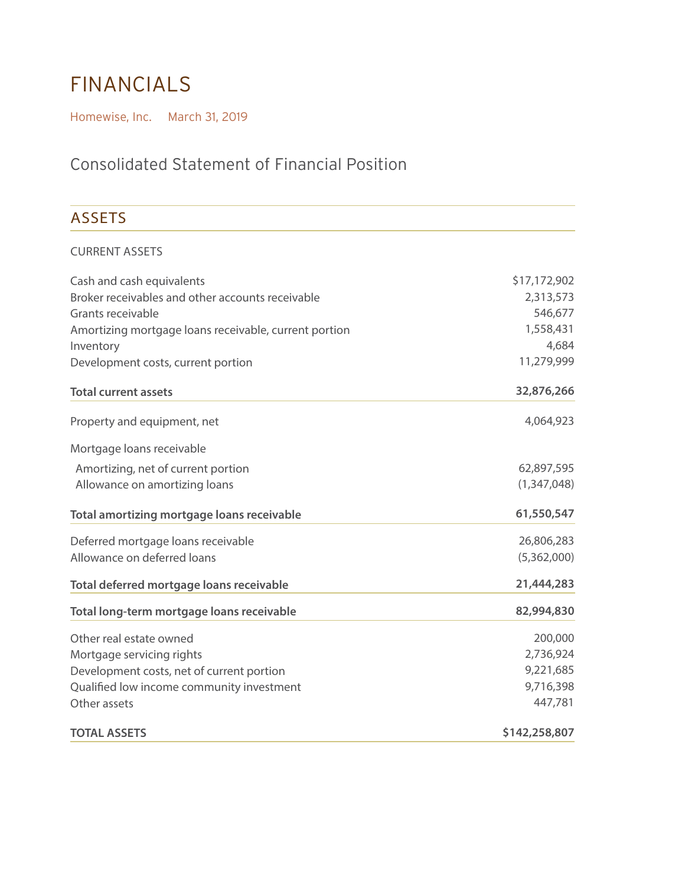# financials

Homewise, Inc. March 31, 2019

## Consolidated Statement of Financial Position

#### **ASSETS** CURRENT ASSETS Cash and cash equivalents Broker receivables and other accounts receivable Grants receivable Amortizing mortgage loans receivable, current portion Inventory Development costs, current portion **Total current assets** Property and equipment, net Mortgage loans receivable Amortizing, net of current portion Allowance on amortizing loans **Total amortizing mortgage loans receivable** Deferred mortgage loans receivable Allowance on deferred loans **Total deferred mortgage loans receivable Total long-term mortgage loans receivable** Other real estate owned Mortgage servicing rights Development costs, net of current portion Qualified low income community investment Other assets **TOTAL ASSETS** \$17,172,902 2,313,573 546,677 1,558,431 4,684 11,279,999 **32,876,266** 4,064,923 62,897,595 (1,347,048) **61,550,547** 26,806,283 (5,362,000) **21,444,283 82,994,830** 200,000 2,736,924 9,221,685 9,716,398 447,781 **\$142,258,807**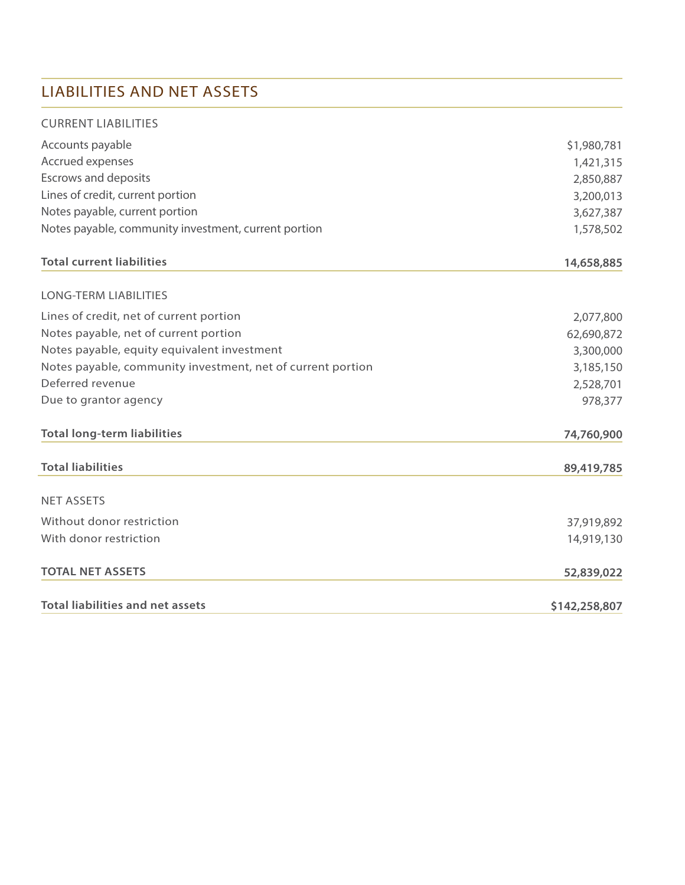#### LIABILITIES AND NET ASSETS

| <b>CURRENT LIABILITIES</b>                                  |               |
|-------------------------------------------------------------|---------------|
| Accounts payable                                            | \$1,980,781   |
| Accrued expenses                                            | 1,421,315     |
| <b>Escrows and deposits</b>                                 | 2,850,887     |
| Lines of credit, current portion                            | 3,200,013     |
| Notes payable, current portion                              | 3,627,387     |
| Notes payable, community investment, current portion        | 1,578,502     |
| <b>Total current liabilities</b>                            | 14,658,885    |
| <b>LONG-TERM LIABILITIES</b>                                |               |
| Lines of credit, net of current portion                     | 2,077,800     |
| Notes payable, net of current portion                       | 62,690,872    |
| Notes payable, equity equivalent investment                 | 3,300,000     |
| Notes payable, community investment, net of current portion | 3,185,150     |
| Deferred revenue                                            | 2,528,701     |
| Due to grantor agency                                       | 978,377       |
| <b>Total long-term liabilities</b>                          | 74,760,900    |
| <b>Total liabilities</b>                                    | 89,419,785    |
| <b>NET ASSETS</b>                                           |               |
| Without donor restriction                                   | 37,919,892    |
| With donor restriction                                      | 14,919,130    |
| <b>TOTAL NET ASSETS</b>                                     | 52,839,022    |
| <b>Total liabilities and net assets</b>                     | \$142,258,807 |